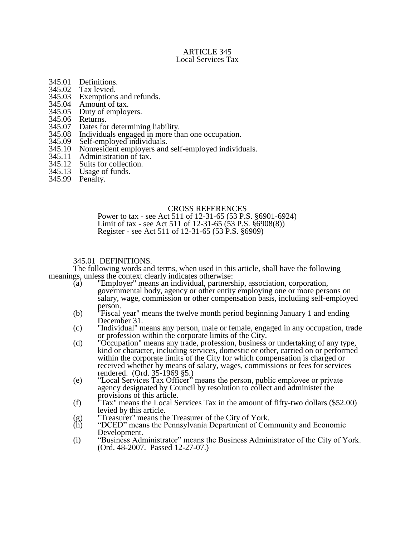### ARTICLE 345 Local Services Tax

- 345.01 Definitions.<br>345.02 Tax levied.
- 
- 345.02 Tax levied.<br>345.03 Exemptions 345.03 Exemptions and refunds.<br>345.04 Amount of tax.
- 345.04 Amount of tax.<br>345.05 Duty of employ
- 345.05 Duty of employers.<br>345.06 Returns.
- 345.06 Returns.<br>345.07 Dates for
- 345.07 Dates for determining liability.<br>345.08 Individuals engaged in more that
- 345.08 Individuals engaged in more than one occupation.<br>345.09 Self-employed individuals.
- 345.09 Self-employed individuals.<br>345.10 Nonresident employers and
- 345.10 Nonresident employers and self-employed individuals.<br>345.11 Administration of tax.
- 
- 345.11 Administration of tax.<br>345.12 Suits for collection. 345.12 Suits for collection.<br>345.13 Usage of funds.
- Usage of funds.
- 345.99 Penalty.

## CROSS REFERENCES

Power to tax - see Act 511 of 12-31-65 (53 P.S. §6901-6924) Limit of tax - see Act 511 of 12-31-65 (53 P.S. §6908(8)) Register - see Act 511 of 12-31-65 (53 P.S. §6909)

## 345.01 DEFINITIONS.

The following words and terms, when used in this article, shall have the following meanings, unless the context clearly indicates otherwise:

- (a) "Employer" means an individual, partnership, association, corporation, governmental body, agency or other entity employing one or more persons on salary, wage, commission or other compensation basis, including self-employed person.
- (b) "Fiscal year" means the twelve month period beginning January 1 and ending December 31.
- (c) "Individual" means any person, male or female, engaged in any occupation, trade or profession within the corporate limits of the City.
- (d) "Occupation" means any trade, profession, business or undertaking of any type, kind or character, including services, domestic or other, carried on or performed within the corporate limits of the City for which compensation is charged or received whether by means of salary, wages, commissions or fees for services rendered. (Ord. 35-1969 §5.)
- (e) "Local Services Tax Officer" means the person, public employee or private agency designated by Council by resolution to collect and administer the provisions of this article.
- (f) "Tax" means the Local Services Tax in the amount of fifty-two dollars (\$52.00) levied by this article.
- (g) "Treasurer" means the Treasurer of the City of York.<br>
(h) "DCED" means the Pennsylvania Department of Con
- "DCED" means the Pennsylvania Department of Community and Economic Development.
- (i) "Business Administrator" means the Business Administrator of the City of York. (Ord. 48-2007. Passed 12-27-07.)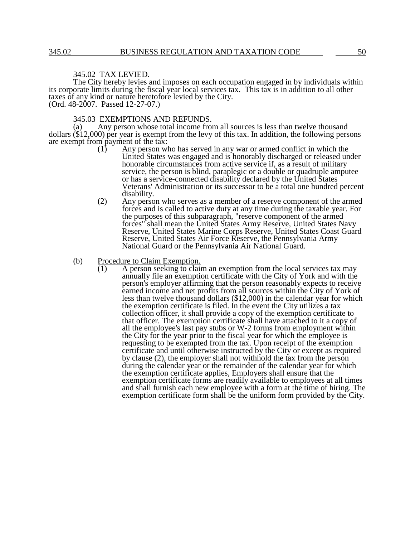#### 345.02 TAX LEVIED.

The City hereby levies and imposes on each occupation engaged in by individuals within its corporate limits during the fiscal year local services tax. This tax is in addition to all other taxes of any kind or nature heretofore levied by the City. (Ord. 48-2007. Passed 12-27-07.)

345.03 EXEMPTIONS AND REFUNDS.

Any person whose total income from all sources is less than twelve thousand dollars (\$12,000) per year is exempt from the levy of this tax. In addition, the following persons are exempt from payment of the tax:<br>(1) Any person w

- Any person who has served in any war or armed conflict in which the United States was engaged and is honorably discharged or released under honorable circumstances from active service if, as a result of military service, the person is blind, paraplegic or a double or quadruple amputee or has a service-connected disability declared by the United States Veterans' Administration or its successor to be a total one hundred percent disability.
- (2) Any person who serves as a member of a reserve component of the armed forces and is called to active duty at any time during the taxable year. For the purposes of this subparagraph, "reserve component of the armed forces" shall mean the United States Army Reserve, United States Navy Reserve, United States Marine Corps Reserve, United States Coast Guard Reserve, United States Air Force Reserve, the Pennsylvania Army National Guard or the Pennsylvania Air National Guard.
- (b) Procedure to Claim Exemption.
	- $\overline{(1)}$  A person seeking to claim an exemption from the local services tax may annually file an exemption certificate with the City of York and with the person's employer affirming that the person reasonably expects to receive earned income and net profits from all sources within the City of York of less than twelve thousand dollars (\$12,000) in the calendar year for which the exemption certificate is filed. In the event the City utilizes a tax collection officer, it shall provide a copy of the exemption certificate to that officer. The exemption certificate shall have attached to it a copy of all the employee's last pay stubs or W-2 forms from employment within the City for the year prior to the fiscal year for which the employee is requesting to be exempted from the tax. Upon receipt of the exemption certificate and until otherwise instructed by the City or except as required by clause (2), the employer shall not withhold the tax from the person during the calendar year or the remainder of the calendar year for which the exemption certificate applies, Employers shall ensure that the exemption certificate forms are readily available to employees at all times and shall furnish each new employee with a form at the time of hiring. The exemption certificate form shall be the uniform form provided by the City.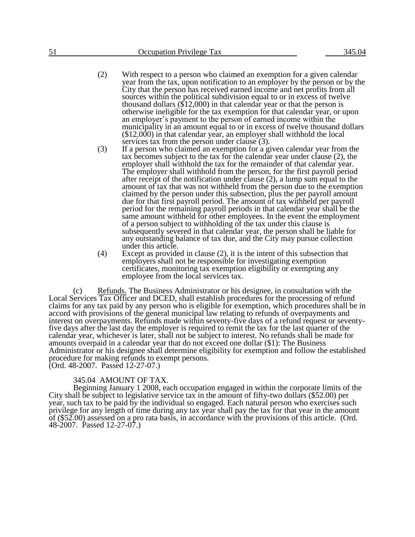- (2) With respect to a person who claimed an exemption for a given calendar year from the tax, upon notification to an employer by the person or by the City that the person has received earned income and net profits from all sources within the political subdivision equal to or in excess of twelve thousand dollars (\$12,000) in that calendar year or that the person is otherwise ineligible for the tax exemption for that calendar year, or upon an employer's payment to the person of earned income within the municipality in an amount equal to or in excess of twelve thousand dollars (\$12,000) in that calendar year, an employer shall withhold the local services tax from the person under clause (3).
- (3) If a person who claimed an exemption for a given calendar year from the tax becomes subject to the tax for the calendar year under clause (2), the employer shall withhold the tax for the remainder of that calendar year. The employer shall withhold from the person, for the first payroll period after receipt of the notification under clause  $(2)$ , a lump sum equal to the amount of tax that was not withheld from the person due to the exemption claimed by the person under this subsection, plus the per payroll amount due for that first payroll period. The amount of tax withheld per payroll period for the remaining payroll periods in that calendar year shall be the same amount withheld for other employees. In the event the employment of a person subject to withholding of the tax under this clause is subsequently severed in that calendar year, the person shall be liable for any outstanding balance of tax due, and the City may pursue collection under this article.
- (4) Except as provided in clause (2), it is the intent of this subsection that employers shall not be responsible for investigating exemption certificates, monitoring tax exemption eligibility or exempting any employee from the local services tax.

(c) Refunds. The Business Administrator or his designee, in consultation with the Local Services Tax Officer and DCED, shall establish procedures for the processing of refund claims for any tax paid by any person who is eligible for exemption, which procedures shall be in accord with provisions of the general municipal law relating to refunds of overpayments and interest on overpayments. Refunds made within seventy-five days of a refund request or seventyfive days after the last day the employer is required to remit the tax for the last quarter of the calendar year, whichever is later, shall not be subject to interest. No refunds shall be made for amounts overpaid in a calendar year that do not exceed one dollar (\$1): The Business Administrator or his designee shall determine eligibility for exemption and follow the established procedure for making refunds to exempt persons. (Ord. 48-2007. Passed 12-27-07.)

345.04 AMOUNT OF TAX.

Beginning January 1 2008, each occupation engaged in within the corporate limits of the City shall be subject to legislative service tax in the amount of fifty-two dollars (\$52.00) per year, such tax to be paid by the individual so engaged. Each natural person who exercises such privilege for any length of time during any tax year shall pay the tax for that year in the amount of (\$52.00) assessed on a pro rata basis, in accordance with the provisions of this article. (Ord. 48-2007. Passed 12-27-07.)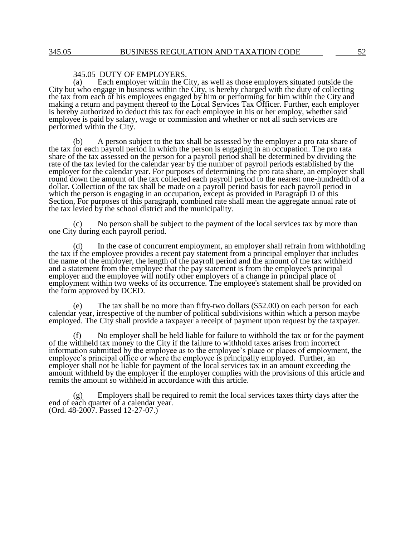# 345.05 DUTY OF EMPLOYERS.<br>(a) Each employer within the C

Each employer within the City, as well as those employers situated outside the City but who engage in business within the City, is hereby charged with the duty of collecting the tax from each of his employees engaged by him or performing for him within the City and making a return and payment thereof to the Local Services Tax Officer. Further, each employer is hereby authorized to deduct this tax for each employee in his or her employ, whether said employee is paid by salary, wage or commission and whether or not all such services are performed within the City.

(b) A person subject to the tax shall be assessed by the employer a pro rata share of the tax for each payroll period in which the person is engaging in an occupation. The pro rata share of the tax assessed on the person for a payroll period shall be determined by dividing the rate of the tax levied for the calendar year by the number of payroll periods established by the employer for the calendar year. For purposes of determining the pro rata share, an employer shall round down the amount of the tax collected each payroll period to the nearest one-hundredth of a dollar. Collection of the tax shall be made on a payroll period basis for each payroll period in which the person is engaging in an occupation, except as provided in Paragraph D of this Section, For purposes of this paragraph, combined rate shall mean the aggregate annual rate of the tax levied by the school district and the municipality.

(c) No person shall be subject to the payment of the local services tax by more than one City during each payroll period.

(d) In the case of concurrent employment, an employer shall refrain from withholding the tax if the employee provides a recent pay statement from a principal employer that includes the name of the employer, the length of the payroll period and the amount of the tax withheld and a statement from the employee that the pay statement is from the employee's principal employer and the employee will notify other employers of a change in principal place of employment within two weeks of its occurrence. The employee's statement shall be provided on the form approved by DCED.

(e) The tax shall be no more than fifty-two dollars (\$52.00) on each person for each calendar year, irrespective of the number of political subdivisions within which a person maybe employed. The City shall provide a taxpayer a receipt of payment upon request by the taxpayer.

No employer shall be held liable for failure to withhold the tax or for the payment of the withheld tax money to the City if the failure to withhold taxes arises from incorrect information submitted by the employee as to the employee's place or places of employment, the employee's principal office or where the employee is principally employed. Further, an employer shall not be liable for payment of the local services tax in an amount exceeding the amount withheld by the employer if the employer complies with the provisions of this article and remits the amount so withheld in accordance with this article.

(g) Employers shall be required to remit the local services taxes thirty days after the end of each quarter of a calendar year. (Ord. 48-2007. Passed 12-27-07.)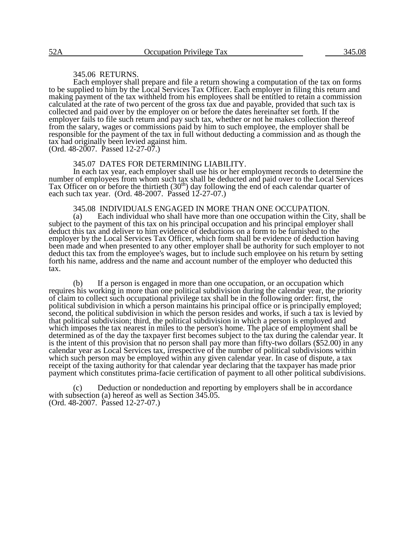#### 345.06 RETURNS.

Each employer shall prepare and file a return showing a computation of the tax on forms to be supplied to him by the Local Services Tax Officer. Each employer in filing this return and making payment of the tax withheld from his employees shall be entitled to retain a commission calculated at the rate of two percent of the gross tax due and payable, provided that such tax is collected and paid over by the employer on or before the dates hereinafter set forth. If the employer fails to file such return and pay such tax, whether or not he makes collection thereof from the salary, wages or commissions paid by him to such employee, the employer shall be responsible for the payment of the tax in full without deducting a commission and as though the tax had originally been levied against him.

 $(Ord. 48-2007.$  Passed  $12-27-07.)$ 

### 345.07 DATES FOR DETERMINING LIABILITY.

In each tax year, each employer shall use his or her employment records to determine the number of employees from whom such tax shall be deducted and paid over to the Local Services Tax Officer on or before the thirtieth  $(30<sup>th</sup>)$  day following the end of each calendar quarter of each such tax year. (Ord. 48-2007. Passed 12-27-07.)

345.08 INDIVIDUALS ENGAGED IN MORE THAN ONE OCCUPATION.

(a) Each individual who shall have more than one occupation within the City, shall be subject to the payment of this tax on his principal occupation and his principal employer shall deduct this tax and deliver to him evidence of deductions on a form to be furnished to the employer by the Local Services Tax Officer, which form shall be evidence of deduction having been made and when presented to any other employer shall be authority for such employer to not deduct this tax from the employee's wages, but to include such employee on his return by setting forth his name, address and the name and account number of the employer who deducted this tax.

(b) If a person is engaged in more than one occupation, or an occupation which requires his working in more than one political subdivision during the calendar year, the priority of claim to collect such occupational privilege tax shall be in the following order: first, the political subdivision in which a person maintains his principal office or is principally employed; second, the political subdivision in which the person resides and works, if such a tax is levied by that political subdivision; third, the political subdivision in which a person is employed and which imposes the tax nearest in miles to the person's home. The place of employment shall be determined as of the day the taxpayer first becomes subject to the tax during the calendar year. It is the intent of this provision that no person shall pay more than fifty-two dollars (\$52.00) in any calendar year as Local Services tax, irrespective of the number of political subdivisions within which such person may be employed within any given calendar year. In case of dispute, a tax receipt of the taxing authority for that calendar year declaring that the taxpayer has made prior payment which constitutes prima-facie certification of payment to all other political subdivisions.

(c) Deduction or nondeduction and reporting by employers shall be in accordance with subsection (a) hereof as well as Section 345.05. (Ord. 48-2007. Passed 12-27-07.)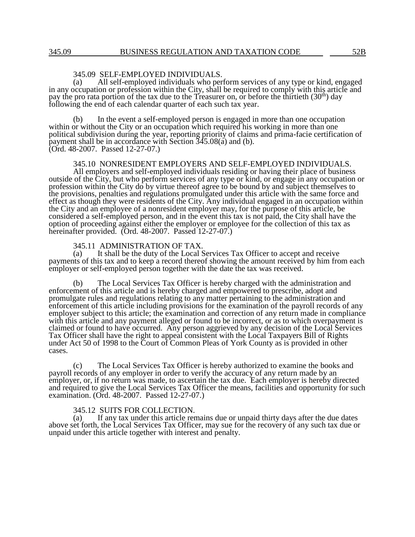# 345.09 SELF-EMPLOYED INDIVIDUALS.<br>(a) All self-employed individuals who per

All self-employed individuals who perform services of any type or kind, engaged in any occupation or profession within the City, shall be required to comply with this article and pay the pro rata portion of the tax due to the Treasurer on, or before the thirtieth  $(30<sup>th</sup>)$  day following the end of each calendar quarter of each such tax year.

(b) In the event a self-employed person is engaged in more than one occupation within or without the City or an occupation which required his working in more than one political subdivision during the year, reporting priority of claims and prima-facie certification of payment shall be in accordance with Section 345.08(a) and (b). (Ord. 48-2007. Passed 12-27-07.)

### 345.10 NONRESIDENT EMPLOYERS AND SELF-EMPLOYED INDIVIDUALS.

All employers and self-employed individuals residing or having their place of business outside of the City, but who perform services of any type or kind, or engage in any occupation or profession within the City do by virtue thereof agree to be bound by and subject themselves to the provisions, penalties and regulations promulgated under this article with the same force and effect as though they were residents of the City. Any individual engaged in an occupation within the City and an employee of a nonresident employer may, for the purpose of this article, be considered a self-employed person, and in the event this tax is not paid, the City shall have the option of proceeding against either the employer or employee for the collection of this tax as hereinafter provided. (Ord. 48-2007. Passed 12-27-07.)

345.11 ADMINISTRATION OF TAX.

(a) It shall be the duty of the Local Services Tax Officer to accept and receive payments of this tax and to keep a record thereof showing the amount received by him from each employer or self-employed person together with the date the tax was received.

(b) The Local Services Tax Officer is hereby charged with the administration and enforcement of this article and is hereby charged and empowered to prescribe, adopt and promulgate rules and regulations relating to any matter pertaining to the administration and enforcement of this article including provisions for the examination of the payroll records of any employer subject to this article; the examination and correction of any return made in compliance with this article and any payment alleged or found to be incorrect, or as to which overpayment is claimed or found to have occurred. Any person aggrieved by any decision of the Local Services Tax Officer shall have the right to appeal consistent with the Local Taxpayers Bill of Rights under Act 50 of 1998 to the Court of Common Pleas of York County as is provided in other cases.

(c) The Local Services Tax Officer is hereby authorized to examine the books and payroll records of any employer in order to verify the accuracy of any return made by an employer, or, if no return was made, to ascertain the tax due. Each employer is hereby directed and required to give the Local Services Tax Officer the means, facilities and opportunity for such examination. (Ord. 48-2007. Passed 12-27-07.)

#### 345.12 SUITS FOR COLLECTION.

(a) If any tax under this article remains due or unpaid thirty days after the due dates above set forth, the Local Services Tax Officer, may sue for the recovery of any such tax due or unpaid under this article together with interest and penalty.